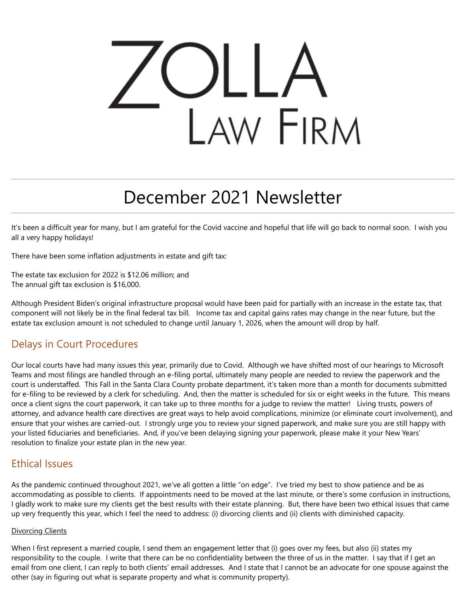# LAW FIRM

# December 2021 Newsletter

It's been a difficult year for many, but I am grateful for the Covid vaccine and hopeful that life will go back to normal soon. I wish you all a very happy holidays!

There have been some inflation adjustments in estate and gift tax:

The estate tax exclusion for 2022 is \$12.06 million; and The annual gift tax exclusion is \$16,000.

Although President Biden's original infrastructure proposal would have been paid for partially with an increase in the estate tax, that component will not likely be in the final federal tax bill. Income tax and capital gains rates may change in the near future, but the estate tax exclusion amount is not scheduled to change until January 1, 2026, when the amount will drop by half.

# Delays in Court Procedures

Our local courts have had many issues this year, primarily due to Covid. Although we have shifted most of our hearings to Microsoft Teams and most filings are handled through an e-filing portal, ultimately many people are needed to review the paperwork and the court is understaffed. This Fall in the Santa Clara County probate department, it's taken more than a month for documents submitted for e-filing to be reviewed by a clerk for scheduling. And, then the matter is scheduled for six or eight weeks in the future. This means once a client signs the court paperwork, it can take up to three months for a judge to review the matter! Living trusts, powers of attorney, and advance health care directives are great ways to help avoid complications, minimize (or eliminate court involvement), and ensure that your wishes are carried-out. I strongly urge you to review your signed paperwork, and make sure you are still happy with your listed fiduciaries and beneficiaries. And, if you've been delaying signing your paperwork, please make it your New Years' resolution to finalize your estate plan in the new year.

# Ethical Issues

As the pandemic continued throughout 2021, we've all gotten a little "on edge". I've tried my best to show patience and be as accommodating as possible to clients. If appointments need to be moved at the last minute, or there's some confusion in instructions, I gladly work to make sure my clients get the best results with their estate planning. But, there have been two ethical issues that came up very frequently this year, which I feel the need to address: (i) divorcing clients and (ii) clients with diminished capacity.

#### Divorcing Clients

When I first represent a married couple, I send them an engagement letter that (i) goes over my fees, but also (ii) states my responsibility to the couple. I write that there can be no confidentiality between the three of us in the matter. I say that if I get an email from one client, I can reply to both clients' email addresses. And I state that I cannot be an advocate for one spouse against the other (say in figuring out what is separate property and what is community property).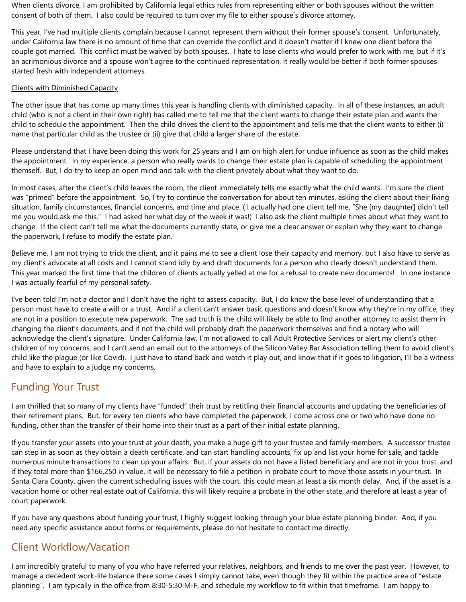When clients divorce, I am prohibited by California legal ethics rules from representing either or both spouses without the written consent of both of them. I also could be required to turn over my file to either spouse's divorce attorney.

This year, I've had multiple clients complain because I cannot represent them without their former spouse's consent. Unfortunately, under California law there is no amount of time that can override the conflict and it doesn't matter if I knew one client before the couple got married. This conflict must be waived by both spouses. I hate to lose clients who would prefer to work with me, but if it's an acrimonious divorce and a spouse won't agree to the continued representation, it really would be better if both former spouses started fresh with independent attorneys.

#### Clients with Diminished Capacity

The other issue that has come up many times this year is handling clients with diminished capacity. In all of these instances, an adult child (who is not a client in their own right) has called me to tell me that the client wants to change their estate plan and wants the child to schedule the appointment. Then the child drives the client to the appointment and tells me that the client wants to either (i) name that particular child as the trustee or (ii) give that child a larger share of the estate.

Please understand that I have been doing this work for 25 years and I am on high alert for undue influence as soon as the child makes the appointment. In my experience, a person who really wants to change their estate plan is capable of scheduling the appointment themself. But, I do try to keep an open mind and talk with the client privately about what they want to do.

In most cases, after the client's child leaves the room, the client immediately tells me exactly what the child wants. I'm sure the client was "primed" before the appointment. So, I try to continue the conversation for about ten minutes, asking the client about their living situation, family circumstances, financial concerns, and time and place. ( I actually had one client tell me, "She [my daughter] didn't tell me you would ask me this." I had asked her what day of the week it was!) I also ask the client multiple times about what they want to change. If the client can't tell me what the documents currently state, or give me a clear answer or explain why they want to change the paperwork, I refuse to modify the estate plan.

Believe me, I am not trying to trick the client, and it pains me to see a client lose their capacity and memory, but I also have to serve as my client's advocate at all costs and I cannot stand idly by and draft documents for a person who clearly doesn't understand them. This year marked the first time that the children of clients actually yelled at me for a refusal to create new documents! In one instance I was actually fearful of my personal safety.

I've been told I'm not a doctor and I don't have the right to assess capacity. But, I do know the base level of understanding that a person must have to create a will or a trust. And if a client can't answer basic questions and doesn't know why they're in my office, they are not in a position to execute new paperwork. The sad truth is the child will likely be able to find another attorney to assist them in changing the client's documents, and if not the child will probably draft the paperwork themselves and find a notary who will acknowledge the client's signature. Under California law, I'm not allowed to call Adult Protective Services or alert my client's other children of my concerns, and I can't send an email out to the attorneys of the Silicon Valley Bar Association telling them to avoid client's child like the plague (or like Covid). I just have to stand back and watch it play out, and know that if it goes to litigation, I'll be a witness and have to explain to a judge my concerns.

### Funding Your Trust

I am thrilled that so many of my clients have "funded" their trust by retitling their financial accounts and updating the beneficiaries of their retirement plans. But, for every ten clients who have completed the paperwork, I come across one or two who have done no funding, other than the transfer of their home into their trust as a part of their initial estate planning.

If you transfer your assets into your trust at your death, you make a huge gift to your trustee and family members. A successor trustee can step in as soon as they obtain a death certificate, and can start handling accounts, fix up and list your home for sale, and tackle numerous minute transactions to clean up your affairs. But, if your assets do not have a listed beneficiary and are not in your trust, and if they total more than \$166,250 in value, it will be necessary to file a petition in probate court to move those assets in your trust. In Santa Clara County, given the current scheduling issues with the court, this could mean at least a six month delay. And, if the asset is a vacation home or other real estate out of California, this will likely require a probate in the other state, and therefore at least a year of court paperwork.

If you have any questions about funding your trust, I highly suggest looking through your blue estate planning binder. And, if you need any specific assistance about forms or requirements, please do not hesitate to contact me directly.

# Client Workflow/Vacation

I am incredibly grateful to many of you who have referred your relatives, neighbors, and friends to me over the past year. However, to manage a decedent work-life balance there some cases I simply cannot take, even though they fit within the practice area of "estate planning". I am typically in the office from 8:30-5:30 M-F, and schedule my workflow to fit within that timeframe. I am happy to